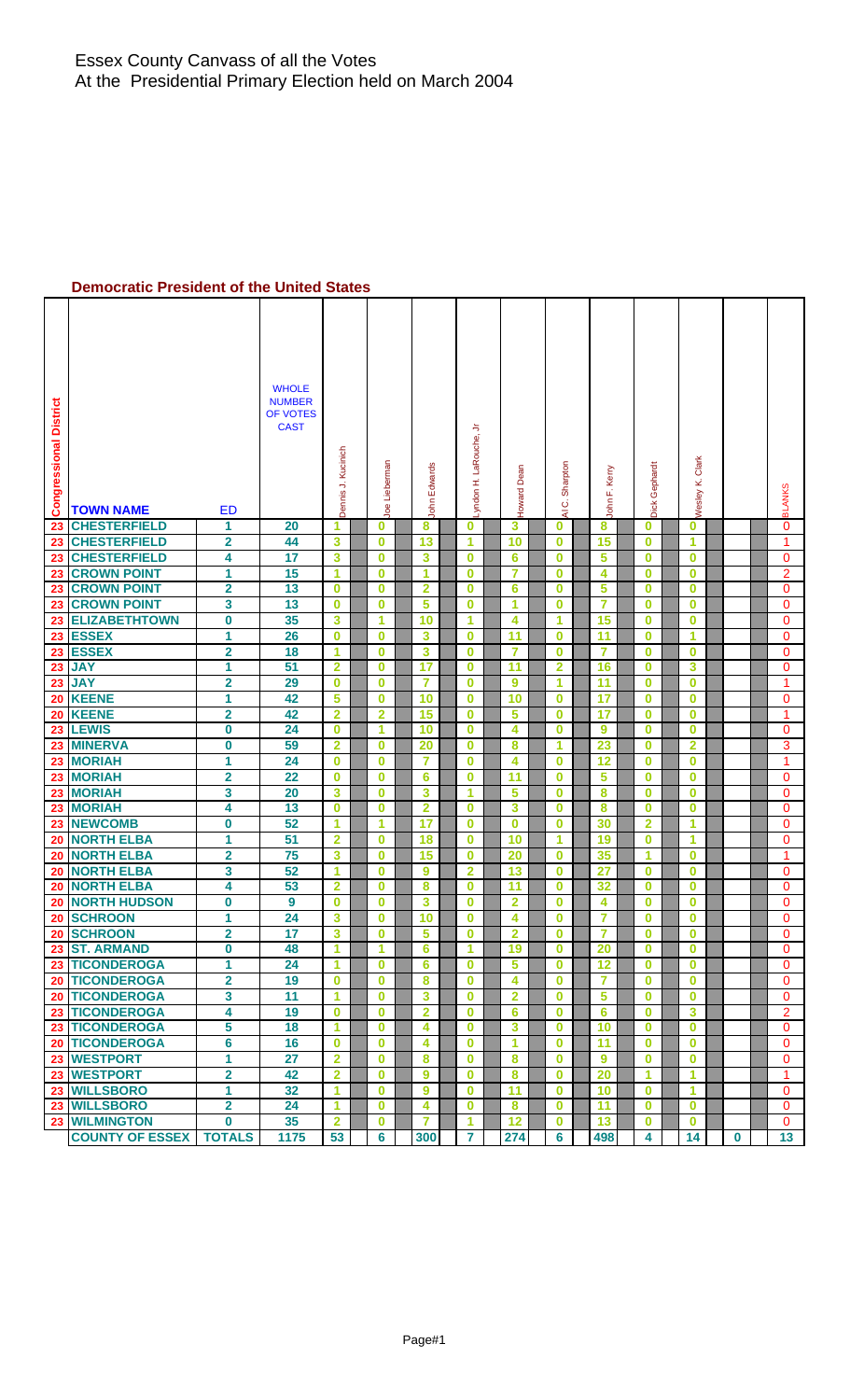### **Democratic President of the United States**

| <b>Congressional District</b> | <b>TOWN NAME</b>                | <b>ED</b>                    | <b>WHOLE</b><br><b>NUMBER</b><br>OF VOTES<br><b>CAST</b> | Dennis J. Kucinich | Joe Lieberman           | John Edwards            | Lyndon H. LaRouche, Jr | Howard Dean     | Sharpton<br>Ö<br>₹   | . Kerry<br>John F. | Dick Gephard         | Wesley K. Clark      |             | <b>BLANKS</b>                |
|-------------------------------|---------------------------------|------------------------------|----------------------------------------------------------|--------------------|-------------------------|-------------------------|------------------------|-----------------|----------------------|--------------------|----------------------|----------------------|-------------|------------------------------|
| 23                            | <b>CHESTERFIELD</b>             | 1                            | 20                                                       | 1                  | 0                       | 8                       | 0                      | 3               | 0                    | 8                  | 0                    | 0                    |             | 0                            |
| 23                            | <b>CHESTERFIELD</b>             | $\overline{\mathbf{2}}$      | 44                                                       | 3                  | $\bf{0}$                | 13                      | 1                      | 10              | $\bf{0}$             | 15                 | $\bf{0}$             | 1                    |             | 1                            |
| 23                            | <b>CHESTERFIELD</b>             | 4                            | 17                                                       | 3                  | $\bf{0}$                | 3                       | $\bf{0}$               | $6\phantom{1}6$ | $\bf{0}$             | 5                  | $\bf{0}$             | $\bf{0}$             |             | $\mathbf 0$                  |
| 23                            | <b>CROWN POINT</b>              | 1                            | 15                                                       | 1                  | 0                       | 1                       | 0                      | 7               | $\bf{0}$             | 4                  | $\bf{0}$             | 0                    |             | $\overline{2}$               |
| 23                            | <b>CROWN POINT</b>              | $\overline{\mathbf{2}}$      | 13                                                       | 0                  | 0                       | $\overline{\mathbf{2}}$ | $\bf{0}$               | 6               | $\bf{0}$             | 5                  | $\bf{0}$             | $\bf{0}$             |             | 0                            |
| 23                            | <b>CROWN POINT</b>              | 3                            | 13                                                       | $\bf{0}$           | $\bf{0}$                | 5                       | $\bf{0}$               | 1               | $\bf{0}$             | $\overline{7}$     | $\bf{0}$             | $\bf{0}$             |             | 0                            |
| 23                            | <b>ELIZABETHTOWN</b>            | $\mathbf 0$                  | 35                                                       | 3                  | 1                       | 10                      | 1                      | 4               | 1                    | 15                 | $\bf{0}$             | $\bf{0}$             |             | $\mathbf 0$                  |
| 23                            | <b>ESSEX</b>                    | 1                            | 26                                                       | $\bf{0}$           | 0                       | 3                       | 0                      | 11              | $\bf{0}$             | 11                 | $\bf{0}$             | 1                    |             | 0                            |
| 23                            | <b>ESSEX</b>                    | $\overline{\mathbf{2}}$      | 18                                                       | 1                  | 0                       | 3                       | $\bf{0}$               | 7               | $\bf{0}$             | 7                  | $\bf{0}$             | $\bf{0}$             |             | 0                            |
| 23                            | <b>JAY</b>                      | 1                            | 51                                                       | $\overline{2}$     | $\bf{0}$                | 17                      | $\bf{0}$               | 11              | $\overline{2}$       | 16                 | $\bf{0}$             | 3                    |             | 0                            |
| 23                            | <b>JAY</b>                      | $\overline{\mathbf{2}}$      | 29                                                       | $\bf{0}$           | 0                       | $\overline{7}$          | $\bf{0}$               | 9               | 1                    | 11                 | $\bf{0}$             | $\bf{0}$             |             | $\mathbf{1}$                 |
| 20                            | <b>KEENE</b>                    | 1                            | 42                                                       | 5                  | 0                       | 10                      | $\bf{0}$               | 10              | $\bf{0}$             | 17                 | $\bf{0}$             | $\bf{0}$             |             | 0                            |
| 20                            | <b>KEENE</b>                    | $\overline{\mathbf{2}}$      | 42                                                       | $\overline{2}$     | $\overline{\mathbf{2}}$ | 15                      | $\bf{0}$               | 5               | $\bf{0}$             | 17                 | $\bf{0}$             | $\bf{0}$             |             | 1                            |
| 23                            | <b>LEWIS</b>                    | 0                            | 24                                                       | $\bf{0}$           | 1                       | 10                      | $\bf{0}$               | 4               | $\bf{0}$             | 9                  | $\bf{0}$             | $\bf{0}$             |             | $\mathbf 0$                  |
| 23                            | <b>MINERVA</b>                  | 0                            | 59                                                       | $\overline{2}$     | $\overline{\mathbf{0}}$ | 20                      | $\bf{0}$               | 8               | 1                    | 23                 | $\bf{0}$             | $\overline{2}$       |             | 3                            |
| 23                            | <b>MORIAH</b>                   | 1                            | 24                                                       | $\bf{0}$           | $\bf{0}$                | $\overline{7}$          | $\bf{0}$               | 4               | $\bf{0}$             | 12                 | $\bf{0}$             | $\bf{0}$             |             | 1                            |
| 23                            | <b>MORIAH</b>                   | $\overline{\mathbf{2}}$      | 22                                                       | $\bf{0}$           | 0                       | 6                       | $\bf{0}$               | 11              | $\bf{0}$             | 5                  | $\bf{0}$             | 0                    |             | 0                            |
| 23                            | <b>MORIAH</b>                   | 3                            | 20                                                       | 3                  | 0                       | 3                       | 1                      | 5               | $\bf{0}$             | 8                  | $\bf{0}$             | $\bf{0}$             |             | 0                            |
| 23                            | <b>MORIAH</b>                   | 4                            | 13                                                       | $\bf{0}$           | $\mathbf 0$             | $\overline{\mathbf{2}}$ | $\bf{0}$               | 3               | $\bf{0}$             | 8                  | $\bf{0}$             | $\bf{0}$             |             | $\mathbf{0}$                 |
| 23                            | <b>NEWCOMB</b>                  | 0                            | 52                                                       | 1                  | 1                       | 17                      | $\bf{0}$               | $\bf{0}$        | $\bf{0}$             | 30                 | $\overline{2}$       | 1                    |             | 0                            |
| 20                            | <b>NORTH ELBA</b>               | $\overline{1}$               | 51                                                       | $\overline{2}$     | 0                       | 18                      | $\bf{0}$               | 10              | 1                    | 19                 | $\bf{0}$             | 1                    |             | $\mathbf 0$                  |
| 20                            | <b>NORTH ELBA</b>               | $\overline{\mathbf{2}}$      | 75                                                       | 3                  | 0                       | 15                      | $\bf{0}$               | 20              | $\bf{0}$             | 35                 | 1                    | $\bf{0}$             |             | 1                            |
| 20                            | <b>NORTH ELBA</b>               | 3                            | 52                                                       | 1                  | $\mathbf 0$             | 9                       | $\overline{2}$         | 13              | $\bf{0}$             | 27                 | $\bf{0}$             | $\bf{0}$             |             | $\mathbf{0}$                 |
| 20                            | <b>NORTH ELBA</b>               | 4                            | 53                                                       | $\overline{2}$     | $\bf{0}$                | 8                       | $\bf{0}$               | 11              | $\bf{0}$             | 32                 | $\bf{0}$             | $\bf{0}$             |             | $\mathbf 0$                  |
| 20                            | <b>NORTH HUDSON</b>             | 0                            | 9                                                        | 0                  | 0                       | 3                       | $\bf{0}$               | 2               | $\bf{0}$             | 4                  | $\bf{0}$             | 0                    |             | 0                            |
|                               | 20 SCHROON                      | 1                            | 24                                                       | 3                  | $\bf{0}$                | 10                      | $\bf{0}$               | 4               | $\bf{0}$             | 7                  | $\bf{0}$             | $\bf{0}$             |             | $\Omega$                     |
|                               | 20 SCHROON                      | $\overline{\mathbf{2}}$      | 17                                                       | 3                  | $\bf{0}$                | 5                       | $\bf{0}$               | $\overline{2}$  | $\bf{0}$             | 7                  | $\bf{0}$             | $\bf{0}$             |             | $\Omega$                     |
|                               | 23 ST. ARMAND<br>23 TICONDEROGA | 0                            | 48                                                       | 1                  | 1<br>$\bf{0}$           | 6                       | 1                      | 19              | $\bf{0}$             | 20                 | $\bf{0}$             | $\bf{0}$             |             | $\mathbf{0}$                 |
|                               | 20 TICONDEROGA                  | 1<br>$\overline{\mathbf{2}}$ | 24                                                       | 1                  | $\bf{0}$                | 6                       | $\bf{0}$<br>$\bf{0}$   | 5<br>4          | $\bf{0}$<br>$\bf{0}$ | 12                 | $\bf{0}$<br>$\bf{0}$ | $\bf{0}$<br>$\bf{0}$ |             | $\mathbf{0}$<br>$\mathbf{0}$ |
|                               | 20 TICONDEROGA                  | 3                            | 19<br>11                                                 | $\bf{0}$<br>1      | $\bf{0}$                | 8                       | $\bf{0}$               | $\overline{2}$  | $\bf{0}$             | $\overline{7}$     | $\bf{0}$             | $\bf{0}$             |             | $\mathbf{0}$                 |
|                               | 23 TICONDEROGA                  | 4                            | 19                                                       | $\bf{0}$           | $\mathbf 0$             | 3<br>$\overline{2}$     | $\bf{0}$               | $6\phantom{a}$  | $\bf{0}$             | 5<br>6             | $\bf{0}$             | 3                    |             | $\overline{2}$               |
|                               | 23 TICONDEROGA                  | 5                            | 18                                                       | 1                  | 0                       | 4                       | $\bf{0}$               | 3               | $\bf{0}$             | 10                 | $\bf{0}$             | $\bf{0}$             |             | $\mathbf{0}$                 |
|                               | <b>20 TICONDEROGA</b>           | 6                            | 16                                                       | $\bf{0}$           | 0                       | 4                       | $\bf{0}$               | 1               | $\bf{0}$             | 11                 | $\bf{0}$             | $\bf{0}$             |             | $\mathbf{0}$                 |
|                               | 23 WESTPORT                     | 1                            | 27                                                       | $\overline{2}$     | $\bf{0}$                | 8                       | $\bf{0}$               | 8               | $\bf{0}$             | 9                  | $\bf{0}$             | $\bf{0}$             |             | 0                            |
|                               | 23 WESTPORT                     | $\overline{\mathbf{2}}$      | 42                                                       | $\overline{2}$     | $\mathbf 0$             | 9                       | $\bf{0}$               | 8               | $\bf{0}$             | 20                 | 1                    | 1                    |             | 1                            |
|                               | 23 WILLSBORO                    | $\mathbf{1}$                 | 32                                                       | 1                  | $\mathbf{0}$            | 9                       | $\bf{0}$               | 11              | $\bf{0}$             | 10                 | $\bf{0}$             | 1                    |             | 0                            |
|                               | 23 WILLSBORO                    | $\overline{\mathbf{2}}$      | 24                                                       | 1                  | $\bf{0}$                | 4                       | $\bf{0}$               | 8               | $\bf{0}$             | 11                 | $\bf{0}$             | $\bf{0}$             |             | $\mathbf{0}$                 |
|                               | 23 WILMINGTON                   | $\mathbf{0}$                 | 35                                                       | $\overline{2}$     | $\bf{0}$                | 7                       | 1                      | 12              | $\bf{0}$             | 13                 | $\bf{0}$             | $\bf{0}$             |             | $\mathbf{0}$                 |
|                               | <b>COUNTY OF ESSEX</b>          | <b>TOTALS</b>                | 1175                                                     | 53                 | $6\overline{6}$         | 300                     | $\overline{7}$         | 274             | 6                    | 498                | 4                    | 14                   | $\mathbf 0$ | 13                           |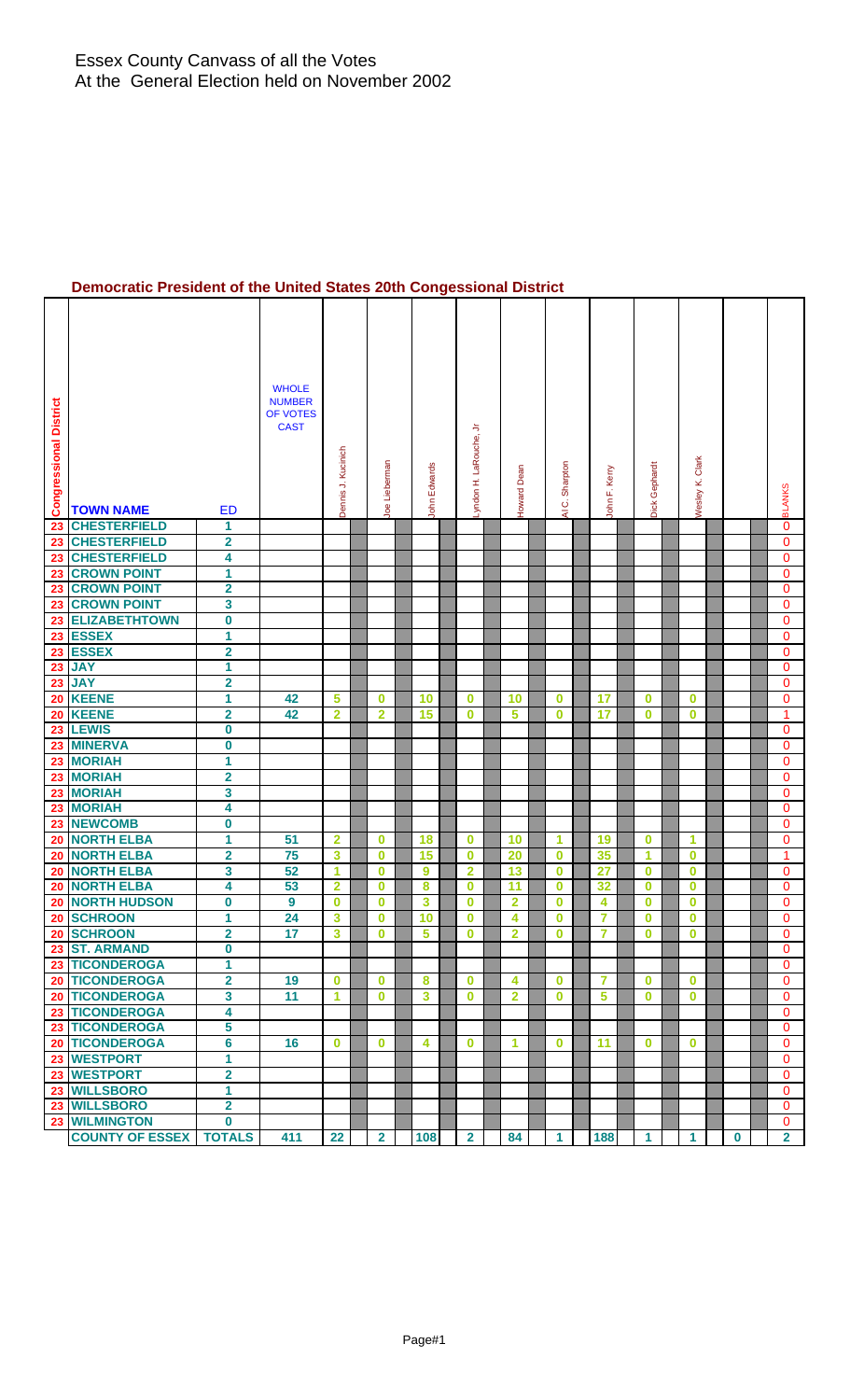# **Democratic President of the United States 20th Congessional District**

| <b>Congressional District</b> | <b>TOWN NAME</b>                       | ED                           | <b>WHOLE</b><br><b>NUMBER</b><br>OF VOTES<br><b>CAST</b> | Dennis J. Kucinich      | Joe Lieberman        | John Edwards |                          | ≒<br>Lyndon H. LaRouche, | Howard Dean             | Sharpton<br>$\vec{\circ}$<br>R | John F. Kerry | Dick Gephard         | Wesley K. Clark |          | <b>BLANKS</b>  |
|-------------------------------|----------------------------------------|------------------------------|----------------------------------------------------------|-------------------------|----------------------|--------------|--------------------------|--------------------------|-------------------------|--------------------------------|---------------|----------------------|-----------------|----------|----------------|
| 23                            | <b>CHESTERFIELD</b>                    | 1                            |                                                          |                         |                      |              |                          |                          |                         |                                |               |                      |                 |          | 0              |
| 23                            | <b>CHESTERFIELD</b>                    | $\overline{\mathbf{2}}$      |                                                          |                         |                      |              |                          |                          |                         |                                |               |                      |                 |          | $\mathbf 0$    |
| 23                            | <b>CHESTERFIELD</b>                    | 4                            |                                                          |                         |                      |              |                          |                          |                         |                                |               |                      |                 |          | $\mathbf{0}$   |
| 23                            | <b>CROWN POINT</b>                     | 1                            |                                                          |                         |                      |              |                          |                          |                         |                                |               |                      |                 |          | 0              |
| 23                            | <b>CROWN POINT</b>                     | $\overline{\mathbf{2}}$      |                                                          |                         |                      |              |                          |                          |                         |                                |               |                      |                 |          | 0              |
| 23                            | <b>CROWN POINT</b>                     | 3                            |                                                          |                         |                      |              |                          |                          |                         |                                |               |                      |                 |          | 0              |
| 23                            | <b>ELIZABETHTOWN</b>                   | $\pmb{0}$                    |                                                          |                         |                      |              |                          |                          |                         |                                |               |                      |                 |          | 0              |
| 23                            | <b>ESSEX</b>                           | $\overline{1}$               |                                                          |                         |                      |              |                          |                          |                         |                                |               |                      |                 |          | $\mathbf{0}$   |
|                               | 23 ESSEX                               | $\overline{\mathbf{2}}$      |                                                          |                         |                      |              |                          |                          |                         |                                |               |                      |                 |          | 0              |
| 23                            | <b>JAY</b>                             | 1                            |                                                          |                         |                      |              |                          |                          |                         |                                |               |                      |                 |          | $\mathbf{0}$   |
| 23                            | <b>JAY</b>                             | $\overline{\mathbf{2}}$      |                                                          |                         |                      |              |                          |                          |                         |                                |               |                      |                 |          | 0              |
| 20                            | <b>KEENE</b>                           | 1                            | 42                                                       | 5                       | $\bf{0}$             | 10           | $\bf{0}$                 |                          | 10                      | $\bf{0}$                       | 17            | $\bf{0}$             | $\bf{0}$        |          | 0              |
| 20                            | <b>KEENE</b>                           | 2                            | 42                                                       | 2                       | $\mathbf{2}$         | 15           | $\bf{0}$                 |                          | 5                       | $\bf{0}$                       | 17            | $\bf{0}$             | 0               |          | 1              |
| 23                            | <b>LEWIS</b>                           | $\boldsymbol{0}$             |                                                          |                         |                      |              |                          |                          |                         |                                |               |                      |                 |          | 0              |
| 23                            | <b>MINERVA</b>                         | $\pmb{0}$                    |                                                          |                         |                      |              |                          |                          |                         |                                |               |                      |                 |          | 0              |
|                               | 23 MORIAH                              | 1                            |                                                          |                         |                      |              |                          |                          |                         |                                |               |                      |                 |          | 0              |
|                               | 23 MORIAH                              | $\overline{\mathbf{2}}$      |                                                          |                         |                      |              |                          |                          |                         |                                |               |                      |                 |          | 0              |
|                               | 23 MORIAH                              | 3                            |                                                          |                         |                      |              |                          |                          |                         |                                |               |                      |                 |          | $\mathbf{0}$   |
| 23                            | <b>MORIAH</b>                          | 4                            |                                                          |                         |                      |              |                          |                          |                         |                                |               |                      |                 |          | 0              |
| 23                            | <b>NEWCOMB</b>                         | 0                            |                                                          |                         |                      |              |                          |                          |                         |                                |               |                      |                 |          | $\mathbf{0}$   |
| 20                            | <b>NORTH ELBA</b><br><b>NORTH ELBA</b> | 1                            | 51<br>75                                                 | $\overline{2}$<br>3     | $\bf{0}$<br>$\bf{0}$ | 18<br>15     | $\bf{0}$                 |                          | 10<br>20                | $\blacktriangleleft$           | 19<br>35      | $\bf{0}$<br>1        | 1               |          | 0<br>1         |
| 20                            | <b>NORTH ELBA</b>                      | $\overline{\mathbf{2}}$<br>3 | 52                                                       | 1                       | 0                    | 9            | $\bf{0}$<br>$\mathbf{2}$ |                          | 13                      | $\bf{0}$<br>$\bf{0}$           | 27            | $\bf{0}$             | 0<br>$\bf{0}$   |          | 0              |
| 20<br>20                      | <b>NORTH ELBA</b>                      | 4                            | 53                                                       | $\overline{\mathbf{2}}$ | 0                    | 8            | $\bf{0}$                 |                          | 11                      | $\bf{0}$                       | 32            | $\bf{0}$             | $\bf{0}$        |          | 0              |
| 20                            | <b>NORTH HUDSON</b>                    | 0                            | 9                                                        | 0                       | $\bf{0}$             | 3            | $\bf{0}$                 |                          | $\overline{\mathbf{2}}$ | $\bf{0}$                       | 4             | $\bf{0}$             | $\bf{0}$        |          | 0              |
| 20                            | <b>SCHROON</b>                         | 1                            | 24                                                       | 3                       | $\bf{0}$             | 10           | $\bf{0}$                 |                          | 4                       | $\bf{0}$                       | 7             | $\bf{0}$             | $\bf{0}$        |          | $\Omega$       |
|                               | 20 SCHROON                             | 2                            | 17                                                       | 3                       | $\bf{0}$             | 5            | $\bf{0}$                 |                          | $\mathbf{2}$            | $\bf{0}$                       | 7             | $\bf{0}$             | $\bf{0}$        |          | 0              |
|                               | 23 ST. ARMAND                          | $\mathbf 0$                  |                                                          |                         |                      |              |                          |                          |                         |                                |               |                      |                 |          | $\Omega$       |
|                               | 23 TICONDEROGA                         | 1                            |                                                          |                         |                      |              |                          |                          |                         |                                |               |                      |                 |          | $\mathbf 0$    |
|                               | 20 TICONDEROGA                         | $\overline{\mathbf{2}}$      | 19                                                       | $\bf{0}$                | $\mathbf{0}$         | 8            | $\bf{0}$                 |                          | 4                       | $\bf{0}$                       | 7             | $\bf{0}$             | $\bf{0}$        |          | $\mathbf{0}$   |
|                               | 20 TICONDEROGA                         | $\overline{\mathbf{3}}$      | 11                                                       | 1                       | $\mathbf 0$          | 3            | $\bf{0}$                 |                          | $\overline{2}$          | $\bf{0}$                       | 5             | $\bf{0}$             | $\bf{0}$        |          | $\mathbf{0}$   |
|                               | 23 TICONDEROGA                         | 4                            |                                                          |                         |                      |              |                          |                          |                         |                                |               |                      |                 |          | $\mathbf{0}$   |
|                               | 23 TICONDEROGA                         | 5                            |                                                          |                         |                      |              |                          |                          |                         |                                |               |                      |                 |          | $\mathbf{0}$   |
|                               | 20 TICONDEROGA                         | 6                            | 16                                                       | $\bf{0}$                | $\mathbf{0}$         | 4            | $\bf{0}$                 |                          | 1                       | $\bf{0}$                       | 11            | $\bf{0}$             | $\bf{0}$        |          | 0              |
|                               | 23 WESTPORT                            | 1                            |                                                          |                         |                      |              |                          |                          |                         |                                |               |                      |                 |          | $\mathbf{0}$   |
|                               | 23 WESTPORT                            | $\overline{\mathbf{2}}$      |                                                          |                         |                      |              |                          |                          |                         |                                |               |                      |                 |          | $\overline{0}$ |
|                               | 23 WILLSBORO                           | 1                            |                                                          |                         |                      |              |                          |                          |                         |                                |               |                      |                 |          | $\overline{0}$ |
|                               | 23 WILLSBORO                           | $\mathbf{2}$                 |                                                          |                         |                      |              |                          |                          |                         |                                |               |                      |                 |          | 0              |
|                               | 23 WILMINGTON                          | $\bf{0}$                     |                                                          |                         |                      |              |                          |                          |                         |                                |               |                      |                 |          | 0              |
|                               | <b>COUNTY OF ESSEX</b>                 | <b>TOTALS</b>                | 411                                                      | 22                      | $\overline{2}$       | 108          | $\mathbf{2}$             |                          | 84                      | $\blacktriangleleft$           | 188           | $\blacktriangleleft$ | 1               | $\bf{0}$ | 2 <sup>1</sup> |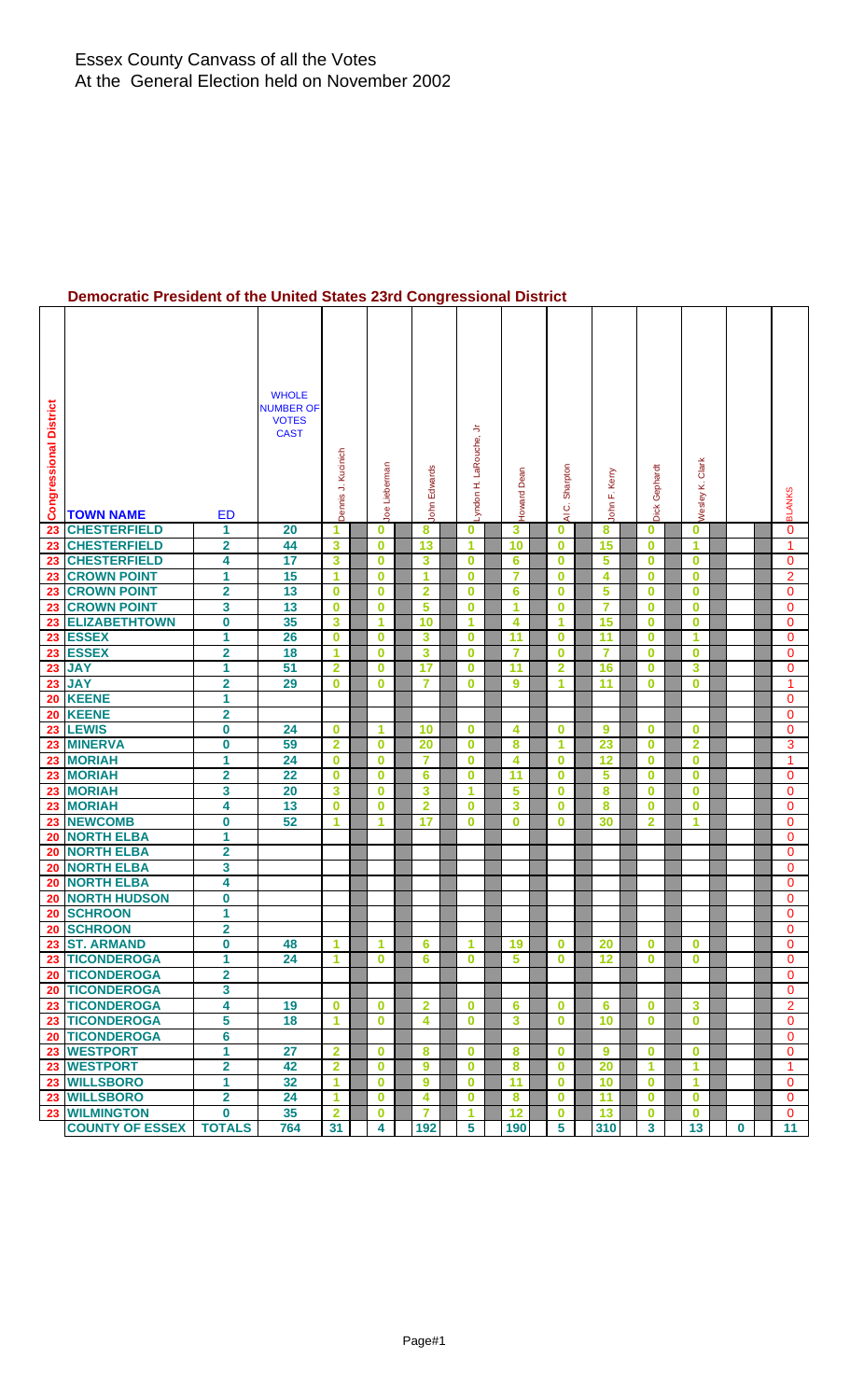# **Democratic President of the United States 23rd Congressional District**

| <b>Congressional District</b> | <b>TOWN NAME</b>                     | <b>ED</b>                           | <b>WHOLE</b><br><b>NUMBER OF</b><br><b>VOTES</b><br><b>CAST</b> | Dennis J. Kucinich      | Joe Lieberman           | John Edwards            | ≒<br>Lyndon H. LaRouche, | Dean<br>Howard          | Sharpton<br>ن<br>₹   |                | Kerry<br>John F. | Dick Gephard         | <b>Nesley K. Clark</b>  |   | <b>BLANKS</b>            |
|-------------------------------|--------------------------------------|-------------------------------------|-----------------------------------------------------------------|-------------------------|-------------------------|-------------------------|--------------------------|-------------------------|----------------------|----------------|------------------|----------------------|-------------------------|---|--------------------------|
| 23                            | <b>CHESTERFIELD</b>                  | 1                                   | 20                                                              | 1                       | 0                       | 8                       | $\bf{0}$                 | 3                       | $\bf{0}$             |                | 8                | $\bf{0}$             | $\bf{0}$                |   | 0                        |
| 23                            | <b>CHESTERFIELD</b>                  | 2                                   | 44                                                              | 3                       | 0                       | 13                      | 1                        | 10                      | $\bf{0}$             | 15             |                  | $\bf{0}$             | 1                       |   | 1                        |
| 23                            | <b>CHESTERFIELD</b>                  | 4                                   | 17                                                              | 3                       | 0                       | 3                       | 0                        | 6                       | $\bf{0}$             |                | 5                | $\bf{0}$             | $\bf{0}$                |   | 0                        |
| 23                            | <b>CROWN POINT</b>                   | 1                                   | 15                                                              | 1                       | 0                       | 1                       | $\bf{0}$                 | $\overline{\mathbf{7}}$ | $\bf{0}$             |                | 4                | $\bf{0}$             | $\bf{0}$                |   | $\overline{2}$           |
| 23                            | <b>CROWN POINT</b>                   | 2                                   | 13                                                              | $\bf{0}$                | 0                       | $\overline{\mathbf{2}}$ | $\bf{0}$                 | $6\phantom{1}6$         | $\bf{0}$             |                | 5                | $\bf{0}$             | $\bf{0}$                |   | $\mathbf{0}$             |
| 23                            | <b>CROWN POINT</b>                   | 3                                   | 13                                                              | $\bf{0}$                | $\bf{0}$                | 5                       | $\bf{0}$                 | 1                       | $\bf{0}$             | $\overline{7}$ |                  | $\bf{0}$             | $\bf{0}$                |   | 0                        |
| 23                            | <b>ELIZABETHTOWN</b><br><b>ESSEX</b> | $\overline{\mathbf{0}}$             | 35                                                              | 3                       | 1                       | 10                      | $\blacktriangleleft$     | $\overline{\mathbf{4}}$ | $\mathbf{1}$         | 15             |                  | $\bf{0}$             | $\bf{0}$                |   | 0                        |
| 23                            | <b>ESSEX</b>                         | 1                                   | 26                                                              | $\bf{0}$<br>1           | $\mathbf 0$<br>0        | 3                       | 0                        | 11<br>7                 | $\bf{0}$<br>$\bf{0}$ | 11<br>7        |                  | $\bf{0}$<br>$\bf{0}$ | 1<br>$\bf{0}$           |   | $\mathbf{0}$             |
| 23<br>23                      | <b>JAY</b>                           | $\overline{\mathbf{2}}$<br>1        | 18<br>51                                                        | $\overline{2}$          | $\bf{0}$                | 3<br>17                 | 0<br>$\bf{0}$            | $\overline{11}$         | $\overline{2}$       | 16             |                  | $\bf{0}$             | 3                       |   | 0<br>$\mathbf 0$         |
| 23                            | <b>JAY</b>                           | $\overline{\mathbf{2}}$             | 29                                                              | $\bf{0}$                | 0                       | 7                       | 0                        | 9                       | 1                    | 11             |                  | $\bf{0}$             | $\bf{0}$                |   | 1                        |
| 20                            | <b>KEENE</b>                         | 1                                   |                                                                 |                         |                         |                         |                          |                         |                      |                |                  |                      |                         |   | 0                        |
| 20                            | <b>KEENE</b>                         | $\overline{\mathbf{2}}$             |                                                                 |                         |                         |                         |                          |                         |                      |                |                  |                      |                         |   | $\mathbf{0}$             |
| 23                            | <b>LEWIS</b>                         | 0                                   | 24                                                              | $\bf{0}$                | 1.                      | 10                      | $\bf{0}$                 | 4                       | $\bf{0}$             |                | 9                | $\bf{0}$             | $\bf{0}$                |   | $\mathbf{0}$             |
| 23                            | <b>MINERVA</b>                       | 0                                   | 59                                                              | $\overline{2}$          | 0                       | 20                      | $\bf{0}$                 | 8                       | 1                    | 23             |                  | $\bf{0}$             | $\overline{\mathbf{2}}$ |   | 3                        |
| 23                            | <b>MORIAH</b>                        | 1                                   | 24                                                              | $\bf{0}$                | $\bf{0}$                | 7                       | $\bf{0}$                 | 4                       | $\bf{0}$             | 12             |                  | $\bf{0}$             | $\bf{0}$                |   | $\mathbf{1}$             |
| 23                            | <b>MORIAH</b>                        | $\overline{\mathbf{2}}$             | 22                                                              | $\bf{0}$                | $\bf{0}$                | 6                       | $\bf{0}$                 | 11                      | $\bf{0}$             |                | 5                | $\bf{0}$             | $\bf{0}$                |   | $\mathbf{0}$             |
| 23                            | <b>MORIAH</b>                        | 3                                   | $\overline{20}$                                                 | 3                       | $\bf{0}$                | 3                       | 1                        | 5                       | $\bf{0}$             |                | 8                | $\bf{0}$             | $\bf{0}$                |   | $\mathbf{0}$             |
| 23                            | <b>MORIAH</b>                        | 4                                   | 13                                                              | $\bf{0}$                | $\bf{0}$                | $\mathbf{2}$            | $\bf{0}$                 | 3                       | $\bf{0}$             |                | 8                | $\bf{0}$             | $\bf{0}$                |   | $\mathbf{0}$             |
| 23                            | <b>NEWCOMB</b>                       | $\pmb{0}$                           | 52                                                              | 1                       | 1                       | 17                      | $\bf{0}$                 | $\bf{0}$                | $\bf{0}$             | 30             |                  | $\mathbf{2}$         | 1                       |   | $\mathbf 0$              |
| 20                            | <b>NORTH ELBA</b>                    | 1                                   |                                                                 |                         |                         |                         |                          |                         |                      |                |                  |                      |                         |   | $\mathbf{0}$             |
| 20                            | <b>NORTH ELBA</b>                    | $\overline{\mathbf{2}}$             |                                                                 |                         |                         |                         |                          |                         |                      |                |                  |                      |                         |   | $\Omega$                 |
| 20                            | <b>NORTH ELBA</b>                    | 3                                   |                                                                 |                         |                         |                         |                          |                         |                      |                |                  |                      |                         |   | $\mathbf{0}$             |
| 20                            | <b>NORTH ELBA</b>                    | 4                                   |                                                                 |                         |                         |                         |                          |                         |                      |                |                  |                      |                         |   | $\mathbf{0}$             |
| 20                            | <b>NORTH HUDSON</b>                  | $\pmb{0}$                           |                                                                 |                         |                         |                         |                          |                         |                      |                |                  |                      |                         |   | 0                        |
| 20                            | <b>SCHROON</b>                       | 1                                   |                                                                 |                         |                         |                         |                          |                         |                      |                |                  |                      |                         |   | $\mathbf 0$              |
|                               | 20 SCHROON<br>23 ST. ARMAND          | $\overline{\mathbf{2}}$<br>$\bf{0}$ | 48                                                              | 1                       | 1                       | 6                       | 1                        | 19                      | $\bf{0}$             | 20             |                  | $\bf{0}$             | $\bf{0}$                |   | $\mathbf{0}$<br>$\Omega$ |
|                               | 23 TICONDEROGA                       | 1                                   | 24                                                              | 1                       | $\bf{0}$                | 6                       | $\bf{0}$                 | 5                       | $\bf{0}$             | 12             |                  | $\bf{0}$             | $\bf{0}$                |   | $\mathbf{0}$             |
|                               | <b>20 TICONDEROGA</b>                | 2                                   |                                                                 |                         |                         |                         |                          |                         |                      |                |                  |                      |                         |   | $\mathbf{0}$             |
|                               | 20 TICONDEROGA                       | 3                                   |                                                                 |                         |                         |                         |                          |                         |                      |                |                  |                      |                         |   | $\mathbf{0}$             |
|                               | 23 TICONDEROGA                       | 4                                   | 19                                                              | $\bf{0}$                | $\overline{\mathbf{0}}$ | $\mathbf{2}$            | $\mathbf{0}$             | 6                       | $\bf{0}$             | 6              |                  | $\bf{0}$             | $\mathbf{3}$            |   | $\overline{2}$           |
|                               | 23 TICONDEROGA                       | 5                                   | 18                                                              | 1                       | $\mathbf{0}$            | 4                       | $\bf{0}$                 | 3                       | $\bf{0}$             | 10             |                  | $\bf{0}$             | $\bf{0}$                |   | $\mathbf{0}$             |
|                               | 20 TICONDEROGA                       | $6\phantom{a}$                      |                                                                 |                         |                         |                         |                          |                         |                      |                |                  |                      |                         |   | $\Omega$                 |
|                               | 23 WESTPORT                          | $\overline{1}$                      | 27                                                              | $\mathbf{2}$            | $\bf{0}$                | 8                       | $\bf{0}$                 | 8                       | $\bf{0}$             | $\overline{9}$ |                  | $\bf{0}$             | $\mathbf{0}$            |   | $\mathbf{0}$             |
|                               | 23 WESTPORT                          | $\overline{\mathbf{2}}$             | 42                                                              | $\overline{\mathbf{2}}$ | $\mathbf{0}$            | 9                       | $\bf{0}$                 | 8                       | $\bf{0}$             | 20             |                  | 1                    | 1                       |   | 1                        |
|                               | 23 WILLSBORO                         | 1                                   | 32                                                              | 1                       | $\bf{0}$                | 9                       | $\bf{0}$                 | 11                      | $\bf{0}$             | 10             |                  | $\bf{0}$             | 1                       |   | 0                        |
|                               | 23 WILLSBORO                         | $\overline{\mathbf{2}}$             | 24                                                              | $\blacktriangleleft$    | $\bf{0}$                | 4                       | $\bf{0}$                 | $\pmb{8}$               | $\mathbf 0$          | 11             |                  | $\bf{0}$             | $\mathbf 0$             |   | $\mathbf{0}$             |
|                               | 23 WILMINGTON                        | 0                                   | 35                                                              | $\overline{2}$          | $\mathbf{0}$            | $\overline{7}$          | 1                        | 12                      | $\bf{0}$             | 13             |                  | $\bf{0}$             | $\mathbf{0}$            |   | $\mathbf{0}$             |
|                               | <b>COUNTY OF ESSEX</b>               | <b>TOTALS</b>                       | 764                                                             | 31                      | 4                       | 192                     | 5                        | 190                     | 5                    | 310            |                  | $\mathbf{3}$         | 13                      | 0 | 11                       |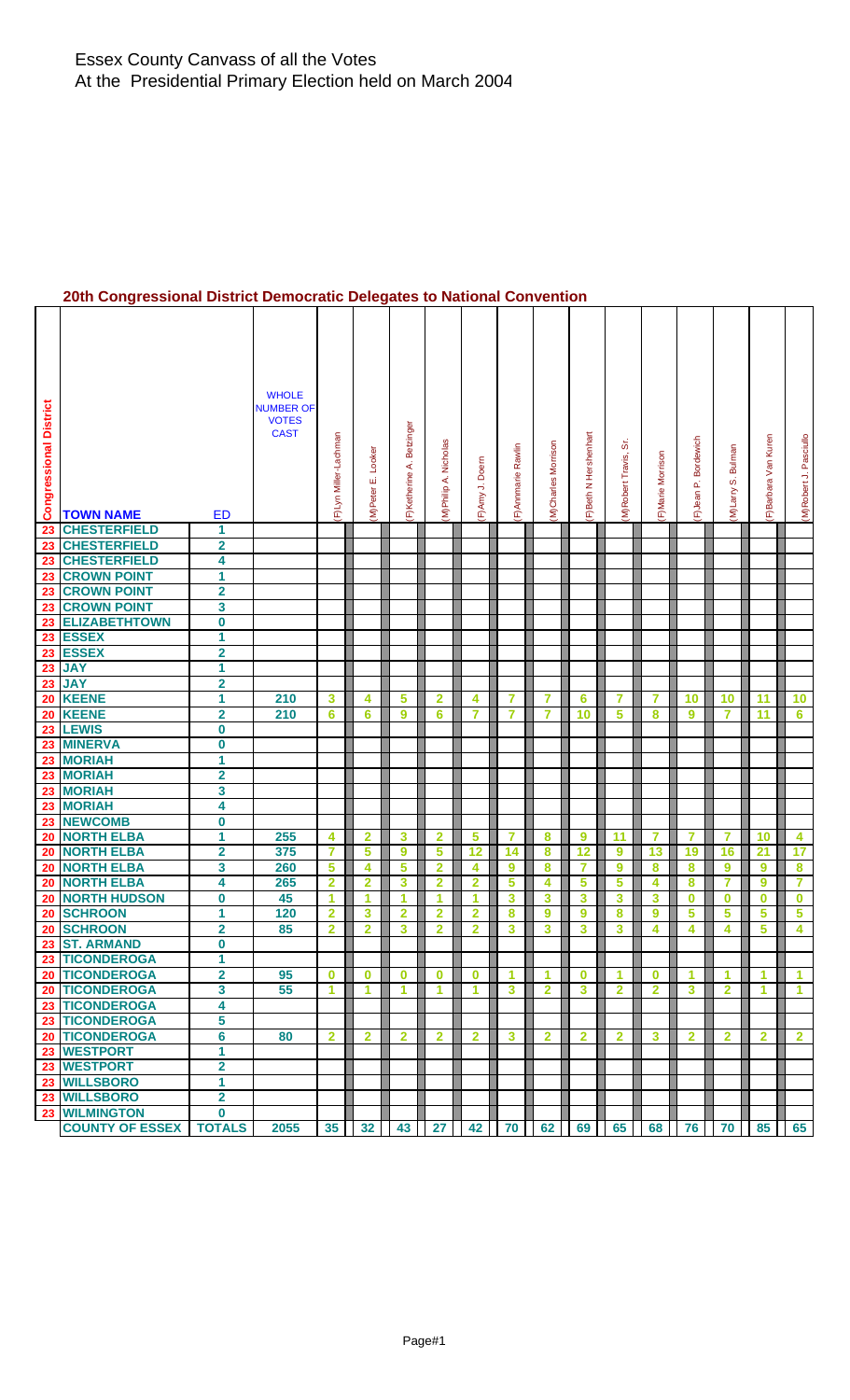### **20th Congressional District Democratic Delegates to National Convention**

| <b>Congressional District</b> | <b>TOWN NAME</b>                | <b>ED</b>                    | <b>WHOLE</b><br><b>NUMBER OF</b><br><b>VOTES</b><br><b>CAST</b> | F)Lyn Miller-Lachman | Looker<br>M)Peter E. | Betzinger<br>F)Ketherine A. | Nicholas<br>M)Philip A. | F)Amy J. Doern          | F) Annmarie Rawlin      | (M)Charles Morrison | F)Beth N Hershenhart | ö<br>(M)Robert Travis, | F)Marie Morrison        | Bordewich<br>$\mathbf{r}$<br>(F)Jean | Bulman<br>σj<br>(M)Larry | F)Barbara Van Kuren | (M)Robert J. Pasciullo |
|-------------------------------|---------------------------------|------------------------------|-----------------------------------------------------------------|----------------------|----------------------|-----------------------------|-------------------------|-------------------------|-------------------------|---------------------|----------------------|------------------------|-------------------------|--------------------------------------|--------------------------|---------------------|------------------------|
| 23                            | <b>CHESTERFIELD</b>             | 1                            |                                                                 |                      |                      |                             |                         |                         |                         |                     |                      |                        |                         |                                      |                          |                     |                        |
| 23                            | <b>CHESTERFIELD</b>             | $\overline{\mathbf{2}}$      |                                                                 |                      |                      |                             |                         |                         |                         |                     |                      |                        |                         |                                      |                          |                     |                        |
| 23                            | <b>CHESTERFIELD</b>             | 4                            |                                                                 |                      |                      |                             |                         |                         |                         |                     |                      |                        |                         |                                      |                          |                     |                        |
| 23                            | <b>CROWN POINT</b>              | 1                            |                                                                 |                      |                      |                             |                         |                         |                         |                     |                      |                        |                         |                                      |                          |                     |                        |
| 23                            | <b>CROWN POINT</b>              | $\overline{\mathbf{2}}$      |                                                                 |                      |                      |                             |                         |                         |                         |                     |                      |                        |                         |                                      |                          |                     |                        |
| 23                            | <b>CROWN POINT</b>              | 3                            |                                                                 |                      |                      |                             |                         |                         |                         |                     |                      |                        |                         |                                      |                          |                     |                        |
| 23                            | <b>ELIZABETHTOWN</b>            | 0                            |                                                                 |                      |                      |                             |                         |                         |                         |                     |                      |                        |                         |                                      |                          |                     |                        |
|                               | 23 ESSEX<br>23 ESSEX            | 1<br>$\overline{\mathbf{2}}$ |                                                                 |                      |                      |                             |                         |                         |                         |                     |                      |                        |                         |                                      |                          |                     |                        |
|                               | 23 JAY                          | 1                            |                                                                 |                      |                      |                             |                         |                         |                         |                     |                      |                        |                         |                                      |                          |                     |                        |
|                               | 23 JAY                          | $\overline{\mathbf{2}}$      |                                                                 |                      |                      |                             |                         |                         |                         |                     |                      |                        |                         |                                      |                          |                     |                        |
| 20                            | <b>KEENE</b>                    | 1                            | 210                                                             | 3                    | 4                    | 5                           | $\mathbf{2}$            | 4                       | 7                       | 7                   | 6                    | 7                      | 7                       | 10                                   | 10                       | 11                  | 10                     |
| 20                            | <b>KEENE</b>                    | $\overline{\mathbf{2}}$      | 210                                                             | 6                    | 6                    | 9                           | 6                       | $\overline{7}$          | 7                       | $\overline{7}$      | 10                   | 5                      | 8                       | 9                                    | 7                        | 11                  | $6\phantom{1}$         |
|                               | 23 LEWIS                        | $\bf{0}$                     |                                                                 |                      |                      |                             |                         |                         |                         |                     |                      |                        |                         |                                      |                          |                     |                        |
| 23                            | <b>MINERVA</b>                  | $\mathbf 0$                  |                                                                 |                      |                      |                             |                         |                         |                         |                     |                      |                        |                         |                                      |                          |                     |                        |
|                               | 23 MORIAH                       | 1                            |                                                                 |                      |                      |                             |                         |                         |                         |                     |                      |                        |                         |                                      |                          |                     |                        |
|                               | 23 MORIAH                       | $\overline{\mathbf{2}}$      |                                                                 |                      |                      |                             |                         |                         |                         |                     |                      |                        |                         |                                      |                          |                     |                        |
|                               | 23 MORIAH                       | 3                            |                                                                 |                      |                      |                             |                         |                         |                         |                     |                      |                        |                         |                                      |                          |                     |                        |
| 23                            | <b>MORIAH</b>                   | 4                            |                                                                 |                      |                      |                             |                         |                         |                         |                     |                      |                        |                         |                                      |                          |                     |                        |
|                               | 23 NEWCOMB                      | $\bf{0}$                     |                                                                 |                      |                      |                             |                         |                         |                         |                     |                      |                        |                         |                                      |                          |                     |                        |
| 20                            | <b>NORTH ELBA</b>               | $\overline{\mathbf{1}}$      | 255                                                             | 4                    | $\mathbf{2}$         | 3                           | $\overline{2}$          | 5                       | 7                       | 8                   | 9                    | 11                     | 7                       | 7                                    | 7                        | 10                  | 4                      |
| 20                            | <b>NORTH ELBA</b>               | $\overline{\mathbf{2}}$      | 375                                                             | $\overline{7}$       | 5                    | 9                           | 5                       | 12                      | 14                      | 8                   | 12                   | 9                      | 13                      | 19                                   | 16                       | 21                  | 17                     |
|                               | 20 NORTH ELBA                   | 3                            | 260                                                             | 5                    | 4                    | 5                           | $\mathbf{2}$            | 4                       | 9                       | 8                   | 7                    | 9                      | 8                       | 8                                    | 9                        | 9                   | 8                      |
| 20                            | <b>NORTH ELBA</b>               | 4                            | 265                                                             | $\overline{2}$       | $\overline{2}$       | 3                           | $\overline{2}$          | $\overline{2}$          | $\overline{\mathbf{5}}$ | 4                   | 5                    | 5                      | 4                       | 8                                    | $\overline{7}$           | 9                   | $\overline{7}$         |
| 20                            | <b>NORTH HUDSON</b>             | 0                            | 45                                                              | 1                    | 1                    | 1                           | 1                       | 1                       | 3                       | 3                   | 3                    | 3                      | 3                       | $\bf{0}$                             | $\bf{0}$                 | $\bf{0}$            | $\bf{0}$               |
| 20                            | <b>SCHROON</b>                  | 1                            | 120                                                             | 2                    | 3                    | $\overline{\mathbf{2}}$     | $\overline{2}$          | $\overline{\mathbf{2}}$ | 8                       | 9                   | 9                    | 8                      | 9                       | 5                                    | 5                        | 5                   | 5                      |
| 20                            | <b>SCHROON</b>                  | $\overline{2}$<br>$\bf{0}$   | 85                                                              | $\overline{2}$       | $\overline{2}$       | 3                           | $\overline{2}$          | $\overline{2}$          | 3                       | 3                   | 3                    | 3                      | 4                       | 4                                    | 4                        | 5                   | 4                      |
|                               | 23 ST. ARMAND<br>23 TICONDEROGA | 1                            |                                                                 |                      |                      |                             |                         |                         |                         |                     |                      |                        |                         |                                      |                          |                     |                        |
|                               | <b>20 TICONDEROGA</b>           | $\overline{\mathbf{2}}$      | 95                                                              | $\bf{0}$             | $\bf{0}$             | $\bf{0}$                    | $\bf{0}$                | $\bf{0}$                | $\blacktriangleleft$    | 1                   | $\mathbf 0$          | 1                      | $\bf{0}$                | 1                                    | 1                        | 1                   | 1                      |
|                               | <b>20 TICONDEROGA</b>           | 3                            | 55                                                              | 1                    | 1                    | 1                           | 1                       | 1                       | $\mathbf{3}$            | $\overline{2}$      | 3                    | $\overline{2}$         | $\overline{\mathbf{2}}$ | 3                                    | $\overline{2}$           | 1                   | 1                      |
|                               | 23 TICONDEROGA                  | 4                            |                                                                 |                      |                      |                             |                         |                         |                         |                     |                      |                        |                         |                                      |                          |                     |                        |
|                               | 23 TICONDEROGA                  | 5                            |                                                                 |                      |                      |                             |                         |                         |                         |                     |                      |                        |                         |                                      |                          |                     |                        |
|                               | 20 TICONDEROGA                  | $6\overline{6}$              | 80                                                              | $\overline{2}$       | $\mathbf{2}$         | $\mathbf{2}$                | $\overline{2}$          | $\overline{2}$          | $\mathbf{3}$            | $\overline{2}$      | $\overline{2}$       | $\mathbf{2}$           | 3                       | 2                                    | $\mathbf{2}$             | $\mathbf{2}$        | $\overline{2}$         |
|                               | 23 WESTPORT                     | 1                            |                                                                 |                      |                      |                             |                         |                         |                         |                     |                      |                        |                         |                                      |                          |                     |                        |
|                               | 23 WESTPORT                     | $\overline{\mathbf{2}}$      |                                                                 |                      |                      |                             |                         |                         |                         |                     |                      |                        |                         |                                      |                          |                     |                        |
|                               | 23 WILLSBORO                    | $\mathbf{1}$                 |                                                                 |                      |                      |                             |                         |                         |                         |                     |                      |                        |                         |                                      |                          |                     |                        |
|                               | 23 WILLSBORO                    | $\overline{\mathbf{2}}$      |                                                                 |                      |                      |                             |                         |                         |                         |                     |                      |                        |                         |                                      |                          |                     |                        |
|                               | 23 WILMINGTON                   | $\bf{0}$                     |                                                                 |                      |                      |                             |                         |                         |                         |                     |                      |                        |                         |                                      |                          |                     |                        |
|                               | <b>COUNTY OF ESSEX</b>          | <b>TOTALS</b>                | 2055                                                            | 35                   | 32                   | 43                          | 27                      | 42                      | 70                      | 62                  | 69                   | 65                     | 68                      | 76                                   | 70                       | 85                  | 65                     |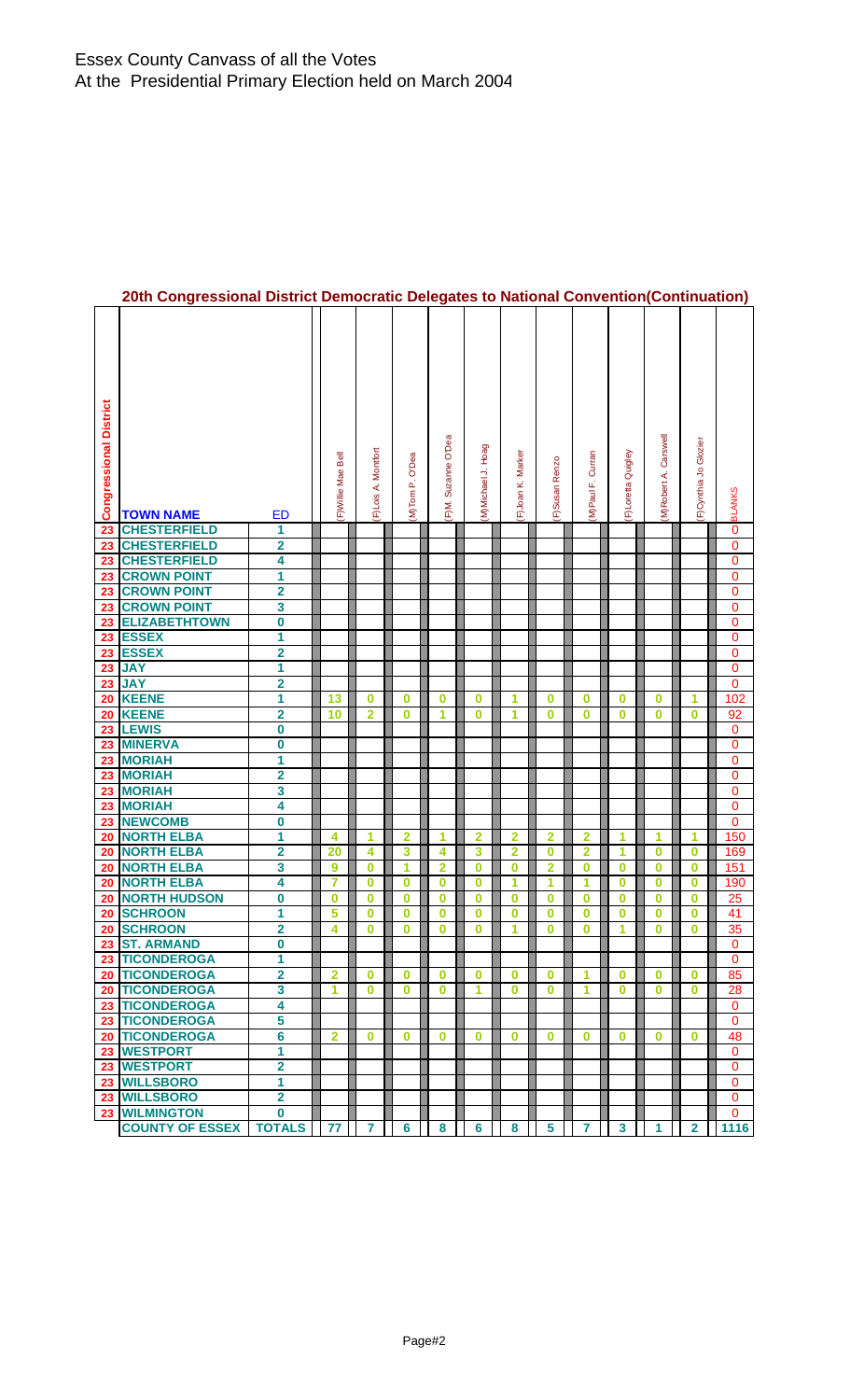| <b>Congressional District</b> | <b>TOWN NAME</b>                     | ED                                                 | F) Willie Mae Bell | F)Lois A. Montfort | (M)Tom P. O'Dea         | F)M. Suzanne O'Dea | (M)Michael J. Hoag | F) Joan K. Marker       | F)Susan Renzo           | Curran<br>M)Paul F. | F)Loretta Quigley | Carswell<br>(M)Robert A. | F)Cynthia Jo Glozier    | <b>BLANKS</b> |
|-------------------------------|--------------------------------------|----------------------------------------------------|--------------------|--------------------|-------------------------|--------------------|--------------------|-------------------------|-------------------------|---------------------|-------------------|--------------------------|-------------------------|---------------|
| 23                            | <b>CHESTERFIELD</b>                  | 1                                                  |                    |                    |                         |                    |                    |                         |                         |                     |                   |                          |                         | 0             |
| 23                            | <b>CHESTERFIELD</b>                  | 2                                                  |                    |                    |                         |                    |                    |                         |                         |                     |                   |                          |                         | 0             |
| 23                            | <b>CHESTERFIELD</b>                  | 4                                                  |                    |                    |                         |                    |                    |                         |                         |                     |                   |                          |                         | 0             |
| 23                            | <b>CROWN POINT</b>                   | 1                                                  |                    |                    |                         |                    |                    |                         |                         |                     |                   |                          |                         | 0             |
| 23                            | <b>CROWN POINT</b>                   | 2                                                  |                    |                    |                         |                    |                    |                         |                         |                     |                   |                          |                         | 0             |
| 23                            | <b>CROWN POINT</b>                   | 3                                                  |                    |                    |                         |                    |                    |                         |                         |                     |                   |                          |                         | 0             |
| 23                            | <b>ELIZABETHTOWN</b><br><b>ESSEX</b> | $\overline{\textbf{0}}$                            |                    |                    |                         |                    |                    |                         |                         |                     |                   |                          |                         | 0             |
| 23<br>23                      | <b>ESSEX</b>                         | 1<br>2                                             |                    |                    |                         |                    |                    |                         |                         |                     |                   |                          |                         | 0<br>0        |
| 23                            | <b>JAY</b>                           | 1                                                  |                    |                    |                         |                    |                    |                         |                         |                     |                   |                          |                         | $\pmb{0}$     |
| 23                            | <b>JAY</b>                           | 2                                                  |                    |                    |                         |                    |                    |                         |                         |                     |                   |                          |                         | 0             |
| 20                            | <b>KEENE</b>                         | 1                                                  | 13                 | 0                  | 0                       | $\bf{0}$           | 0                  | 1                       | 0                       | 0                   | 0                 | 0                        | 1                       | 102           |
| 20                            | <b>KEENE</b>                         | $\overline{\mathbf{2}}$                            | 10                 | $\overline{2}$     | $\bf{0}$                | 1                  | 0                  | 1                       | $\bf{0}$                | $\bf{0}$            | 0                 | 0                        | 0                       | 92            |
| 23                            | <b>LEWIS</b>                         | 0                                                  |                    |                    |                         |                    |                    |                         |                         |                     |                   |                          |                         | 0             |
| 23                            | <b>MINERVA</b>                       | 0                                                  |                    |                    |                         |                    |                    |                         |                         |                     |                   |                          |                         | 0             |
| 23                            | <b>MORIAH</b>                        | 1                                                  |                    |                    |                         |                    |                    |                         |                         |                     |                   |                          |                         | $\bf{0}$      |
| 23                            | <b>MORIAH</b>                        | 2                                                  |                    |                    |                         |                    |                    |                         |                         |                     |                   |                          |                         | $\bf{0}$      |
| 23                            | <b>MORIAH</b>                        | 3                                                  |                    |                    |                         |                    |                    |                         |                         |                     |                   |                          |                         | 0             |
| 23                            | <b>MORIAH</b>                        | 4                                                  |                    |                    |                         |                    |                    |                         |                         |                     |                   |                          |                         | 0             |
| 23                            | <b>NEWCOMB</b>                       | 0                                                  |                    |                    |                         |                    |                    |                         |                         |                     |                   |                          |                         | 0             |
| 20                            | <b>NORTH ELBA</b>                    | 1                                                  | 4                  | 1                  | $\overline{2}$          | 1                  | $\overline{2}$     | $\overline{\mathbf{2}}$ | $\overline{2}$          | $\overline{2}$      | 1                 | 1                        | 1                       | 150           |
| 20                            | <b>NORTH ELBA</b>                    | 2                                                  | 20                 | 4                  | $\overline{\mathbf{3}}$ | 4                  | 3                  | $\overline{\mathbf{2}}$ | $\bf{0}$                | $\overline{2}$      | 1                 | 0                        | 0                       | 169           |
| 20                            | <b>NORTH ELBA</b>                    | 3                                                  | 9                  | 0                  | 1                       | 2                  | 0                  | 0                       | $\overline{\mathbf{2}}$ | 0                   | 0                 | 0                        | 0                       | 151           |
| 20                            | <b>NORTH ELBA</b>                    | 4                                                  | 7                  | 0                  | $\bf{0}$                | $\bf{0}$           | $\bf{0}$           | 1                       | 1                       | 1                   | 0                 | 0                        | 0                       | 190           |
| 20                            | <b>NORTH HUDSON</b>                  | 0                                                  | 0                  | 0                  | $\bf{0}$                | $\bf{0}$           | $\bf{0}$           | 0                       | 0                       | 0                   | 0                 | 0                        | $\bf{0}$                | 25            |
| 20                            | <b>SCHROON</b>                       | 1                                                  | 5                  | 0                  | 0                       | 0                  | 0                  | 0                       | 0                       | 0                   | 0                 | 0                        | 0                       | 41            |
| 20                            | <b>SCHROON</b>                       | $\overline{2}$                                     | 4                  | 0                  | $\bf{0}$                | 0                  | 0                  | 1                       | 0                       | 0                   | 1                 | 0                        | 0                       | 35            |
|                               | 23 ST. ARMAND                        | 0                                                  |                    |                    |                         |                    |                    |                         |                         |                     |                   |                          |                         | 0             |
| 23                            | <b>TICONDEROGA</b>                   | 1                                                  |                    |                    |                         |                    |                    |                         |                         |                     |                   |                          |                         | $\Omega$      |
|                               | 20 TICONDEROGA                       | $\overline{\mathbf{2}}$<br>$\overline{\mathbf{3}}$ | $\overline{2}$     | $\bf{0}$           | $\bf{0}$                | $\bf{0}$           | $\bf{0}$           | $\bf{0}$                | $\bf{0}$                | 1                   | $\bf{0}$          | 0                        | 0                       | 85            |
|                               | 20 TICONDEROGA<br>23 TICONDEROGA     | 4                                                  | 1                  | $\bf{0}$           | $\bf{0}$                | $\mathbf 0$        | $\overline{1}$     | $\bf{0}$                | $\bf{0}$                | 1                   | $\bf{0}$          | $\bf{0}$                 | $\mathbf 0$             | 28            |
|                               | 23 TICONDEROGA                       | 5                                                  |                    |                    |                         |                    |                    |                         |                         |                     |                   |                          |                         | 0             |
| 20                            | <b>TICONDEROGA</b>                   | 6                                                  | $\overline{2}$     | $\mathbf 0$        | $\mathbf 0$             | $\mathbf 0$        | $\bf{0}$           | $\bf{0}$                | $\bf{0}$                | $\bf{0}$            | $\bf{0}$          | $\bf{0}$                 | $\mathbf 0$             | 0<br>48       |
| 23                            | <b>WESTPORT</b>                      | 1                                                  |                    |                    |                         |                    |                    |                         |                         |                     |                   |                          |                         | $\mathbf{0}$  |
|                               | 23 WESTPORT                          | $\overline{\mathbf{2}}$                            |                    |                    |                         |                    |                    |                         |                         |                     |                   |                          |                         | $\mathbf 0$   |
|                               | 23 WILLSBORO                         | 1                                                  |                    |                    |                         |                    |                    |                         |                         |                     |                   |                          |                         | 0             |
| 23                            | <b>WILLSBORO</b>                     | $\overline{2}$                                     |                    |                    |                         |                    |                    |                         |                         |                     |                   |                          |                         | $\mathbf 0$   |
|                               | 23 WILMINGTON                        | $\bf{0}$                                           |                    |                    |                         |                    |                    |                         |                         |                     |                   |                          |                         | $\mathbf{0}$  |
|                               | <b>COUNTY OF ESSEX</b>               | <b>TOTALS</b>                                      | 77                 | $\overline{7}$     | 6                       | 8                  | $6\phantom{a}$     | 8                       | 5                       | $\overline{7}$      | $\mathbf{3}$      | 1                        | $\overline{\mathbf{2}}$ | 1116          |

# **20th Congressional District Democratic Delegates to National Convention(Continuation)**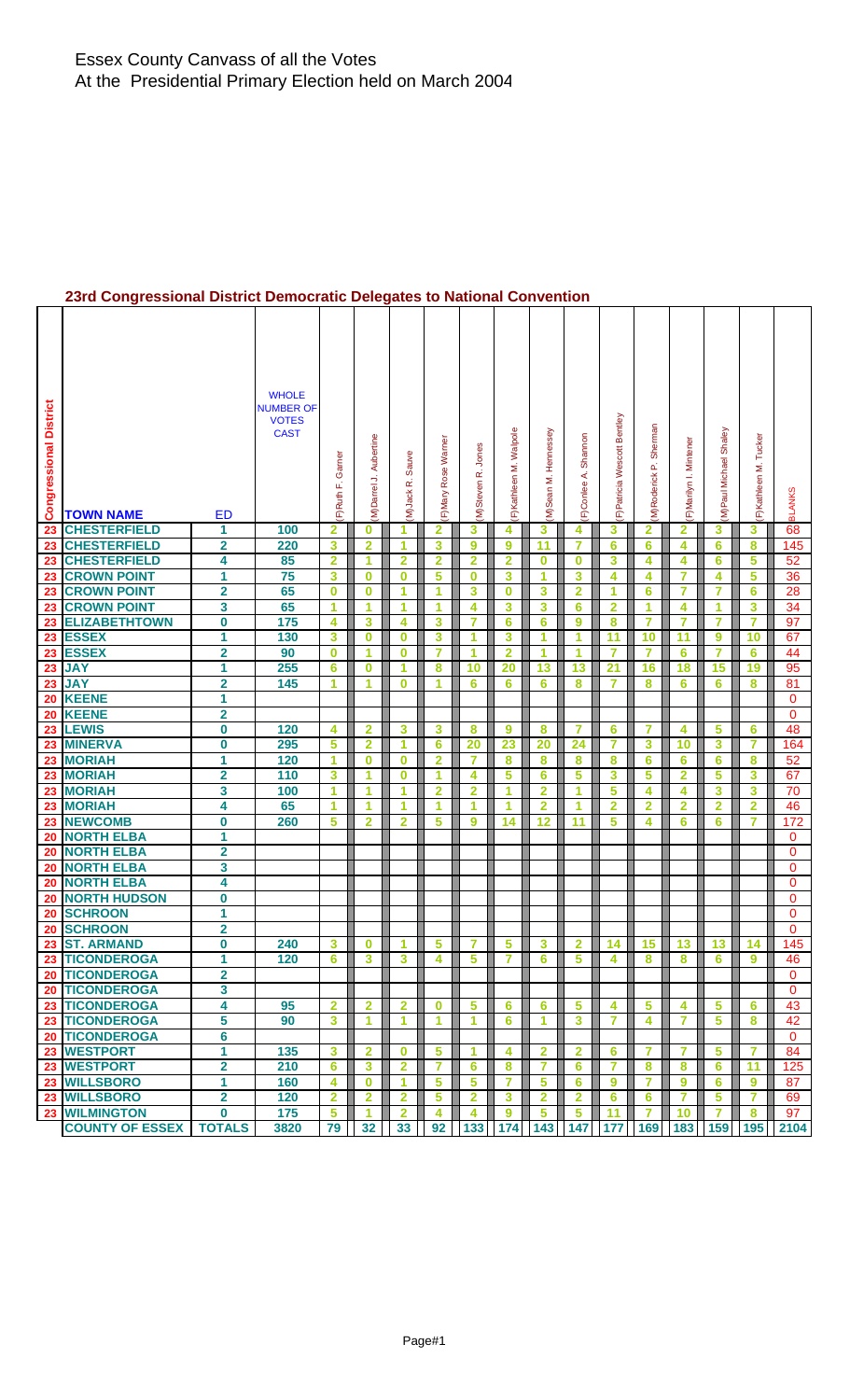### **23rd Congressional District Democratic Delegates to National Convention**

| <b>Congressional District</b> | <b>TOWN NAME</b>             | <b>ED</b>               | <b>WHOLE</b><br><b>NUMBER OF</b><br><b>VOTES</b><br><b>CAST</b> | Garner<br>üί<br>F)Ruth  | (M)Darrel J. Aubertine  | Sauve<br>œ<br>(M)Jack   | Rose Warne<br>F)Mary | Jones<br>M)Steven R.    | F) Kathleen M. Walpole  | Hennessey<br>M)Sean M.  | Shannon<br>∢<br>F)Conlee | F)Patricia Wescott Bentley | Sherman<br>M)Roderick <sub>P.</sub> | F)Marilyn I. Mintener   | M)Paul Michael Shaley | F)Kathleen M. Tucker | <b>BLANKS</b> |
|-------------------------------|------------------------------|-------------------------|-----------------------------------------------------------------|-------------------------|-------------------------|-------------------------|----------------------|-------------------------|-------------------------|-------------------------|--------------------------|----------------------------|-------------------------------------|-------------------------|-----------------------|----------------------|---------------|
| 23                            | <b>CHESTERFIELD</b>          | 1                       | 100                                                             | $\overline{\mathbf{2}}$ | 0                       | 1                       | 2                    | 3                       | 4                       | 3                       | 4                        | 3                          | 2                                   | $\overline{\mathbf{2}}$ | 3                     | 3                    | 68            |
| 23                            | <b>CHESTERFIELD</b>          | $\overline{\mathbf{2}}$ | 220                                                             | 3                       | $\overline{2}$          | 1                       | 3                    | 9                       | 9                       | 11                      | 7                        | 6                          | 6                                   | 4                       | 6                     | 8                    | 145           |
| 23                            | <b>CHESTERFIELD</b>          | 4                       | 85                                                              | $\overline{2}$          | 1                       | $\overline{2}$          | $\overline{2}$       | 2                       | $\overline{2}$          | $\bf{0}$                | $\bf{0}$                 | 3                          | 4                                   | 4                       | 6                     | 5                    | 52            |
| 23                            | <b>CROWN POINT</b>           | 1                       | 75                                                              | 3                       | 0                       | $\bf{0}$                | 5                    | 0                       | 3                       | 1                       | 3                        | 4                          | 4                                   | 7                       | 4                     | 5                    | 36            |
| 23                            | <b>CROWN POINT</b>           | $\overline{\mathbf{2}}$ | 65                                                              | $\bf{0}$                | 0                       | 1                       | 1                    | 3                       | $\bf{0}$                | 3                       | $\overline{2}$           | 1                          | 6                                   | 7                       | 7                     | 6                    | 28            |
| 23                            | <b>CROWN POINT</b>           | 3                       | 65                                                              | 1                       | 1                       | 1                       | 1                    | 4                       | 3                       | 3                       | $6\phantom{1}6$          | $\overline{2}$             | 1                                   | 4                       | 1                     | 3                    | 34            |
| 23                            | <b>ELIZABETHTOWN</b>         | 0                       | 175                                                             | 4                       | 3                       | 4                       | 3                    | 7                       | 6                       | 6                       | 9                        | 8                          | 7                                   | $\overline{7}$          | 7                     | $\overline{7}$       | 97            |
| 23                            | <b>ESSEX</b>                 | 1                       | 130                                                             | 3                       | 0                       | $\bf{0}$                | 3                    | 1                       | 3                       | 1                       | 1                        | 11                         | 10                                  | 11                      | 9                     | 10                   | 67            |
|                               | 23 ESSEX                     | 2                       | 90                                                              | $\bf{0}$                | 1                       | $\bf{0}$                | 7                    | 1                       | $\overline{\mathbf{2}}$ | 1                       | 1                        | 7                          | 7                                   | 6                       | 7                     | 6                    | 44            |
| 23                            | <b>JAY</b>                   | 1                       | 255                                                             | 6                       | 0                       | 1                       | 8                    | 10                      | 20                      | 13                      | 13                       | 21                         | 16                                  | 18                      | 15                    | 19                   | 95            |
| 23                            | <b>JAY</b>                   | $\overline{\mathbf{2}}$ | 145                                                             | 1                       | 1                       | $\bf{0}$                | 1                    | 6                       | 6                       | 6                       | 8                        | 7                          | 8                                   | 6                       | 6                     | 8                    | 81            |
| 20                            | <b>KEENE</b>                 | 1                       |                                                                 |                         |                         |                         |                      |                         |                         |                         |                          |                            |                                     |                         |                       |                      | $\mathbf{0}$  |
| 20                            | <b>KEENE</b>                 | $\overline{\mathbf{2}}$ |                                                                 |                         |                         |                         |                      |                         |                         |                         |                          |                            |                                     |                         |                       |                      | 0             |
| 23                            | <b>LEWIS</b>                 | 0                       | 120                                                             | 4                       | 2                       | 3                       | 3                    | 8                       | 9                       | 8                       | 7                        | 6                          | 7                                   | 4                       | 5                     | 6                    | 48            |
| 23                            | <b>MINERVA</b>               | 0                       | 295                                                             | 5                       | $\overline{\mathbf{2}}$ | 1                       | 6                    | 20                      | 23                      | 20                      | 24                       | 7                          | 3                                   | 10                      | 3                     | 7                    | 164           |
| 23                            | <b>MORIAH</b>                | 1                       | 120                                                             | 1                       | $\bf{0}$                | $\bf{0}$                | $\overline{2}$       | 7                       | 8                       | 8                       | 8                        | 8                          | 6                                   | 6                       | 6                     | 8                    | 52            |
| 23                            | <b>MORIAH</b>                | $\overline{\mathbf{2}}$ | 110                                                             | 3                       | 1                       | $\bf{0}$                | 1                    | 4                       | 5                       | 6                       | 5                        | 3                          | 5                                   | 2                       | 5                     | 3                    | 67            |
| 23                            | <b>MORIAH</b>                | 3                       | 100                                                             | 1                       | 1                       | 1                       | $\overline{2}$       | $\overline{\mathbf{2}}$ | 1                       | $\overline{2}$          | 1                        | 5                          | 4                                   | 4                       | 3                     | 3                    | 70            |
| 23                            | <b>MORIAH</b>                | 4                       | 65                                                              | 1                       | 1                       | 1                       | 1                    | 1                       | 1                       | $\overline{2}$          | 1                        | $\overline{2}$             | $\mathbf{2}$                        | $\mathbf{2}$            | $\overline{2}$        | $\overline{2}$       | 46            |
| 23                            | <b>NEWCOMB</b>               | 0                       | 260                                                             | 5                       | 2                       | $\overline{\mathbf{2}}$ | 5                    | 9                       | 14                      | 12                      | 11                       | 5                          | 4                                   | 6                       | 6                     | 7                    | 172           |
| 20                            | <b>NORTH ELBA</b>            | 1                       |                                                                 |                         |                         |                         |                      |                         |                         |                         |                          |                            |                                     |                         |                       |                      | 0             |
| 20                            | <b>NORTH ELBA</b>            | $\overline{\mathbf{2}}$ |                                                                 |                         |                         |                         |                      |                         |                         |                         |                          |                            |                                     |                         |                       |                      | 0             |
| 20                            | <b>NORTH ELBA</b>            | 3                       |                                                                 |                         |                         |                         |                      |                         |                         |                         |                          |                            |                                     |                         |                       |                      | 0             |
| 20                            | <b>NORTH ELBA</b>            | 4                       |                                                                 |                         |                         |                         |                      |                         |                         |                         |                          |                            |                                     |                         |                       |                      | 0             |
| 20                            | <b>NORTH HUDSON</b>          | 0                       |                                                                 |                         |                         |                         |                      |                         |                         |                         |                          |                            |                                     |                         |                       |                      | $\mathbf{0}$  |
| 20                            | <b>SCHROON</b><br>20 SCHROON | 1<br>2                  |                                                                 |                         |                         |                         |                      |                         |                         |                         |                          |                            |                                     |                         |                       |                      | 0             |
|                               | 23 ST. ARMAND                | 0                       | 240                                                             | 3                       | 0                       | 1                       | 5                    | 7                       | 5                       | 3                       | $\overline{2}$           | 14                         | 15                                  | 13                      | 13                    | 14                   | 0<br>145      |
|                               | 23 TICONDEROGA               | 1                       | 120                                                             | 6                       | 3                       | 3                       | 4                    | 5                       | 7                       | 6                       | 5                        | 4                          | 8                                   | 8                       | 6                     | 9                    | 46            |
|                               | 20 TICONDEROGA               | $\overline{\mathbf{2}}$ |                                                                 |                         |                         |                         |                      |                         |                         |                         |                          |                            |                                     |                         |                       |                      | $\mathbf{0}$  |
|                               | 20 TICONDEROGA               | 3                       |                                                                 |                         |                         |                         |                      |                         |                         |                         |                          |                            |                                     |                         |                       |                      | $\Omega$      |
|                               | 23 TICONDEROGA               | 4                       | 95                                                              | $\overline{2}$          | $\overline{\mathbf{2}}$ | $\overline{2}$          | $\bf{0}$             | 5                       | 6                       | 6                       | 5                        | 4                          | 5                                   | 4                       | 5                     | 6                    | 43            |
|                               | 23 TICONDEROGA               | 5                       | 90                                                              | 3                       | 1                       | 1                       | 1                    | 1                       | 6                       | 1                       | 3                        | 7                          | 4                                   | 7                       | 5                     | 8                    | 42            |
|                               | 20 TICONDEROGA               | 6                       |                                                                 |                         |                         |                         |                      |                         |                         |                         |                          |                            |                                     |                         |                       |                      | $\mathbf{0}$  |
|                               | 23 WESTPORT                  | 1                       | 135                                                             | 3                       | $\overline{\mathbf{2}}$ | $\bf{0}$                | 5                    | 1                       | 4                       | $\overline{2}$          | $\overline{\mathbf{2}}$  | 6                          | 7                                   | 7                       | 5                     | 7                    | 84            |
|                               | 23 WESTPORT                  | $\overline{\mathbf{2}}$ | 210                                                             | 6                       | 3                       | $\overline{2}$          | 7                    | 6                       | 8                       | 7                       | 6                        | 7                          | 8                                   | 8                       | 6                     | 11                   | 125           |
|                               | 23 WILLSBORO                 | 1                       | 160                                                             | 4                       | $\bf{0}$                | 1                       | 5                    | 5                       | 7                       | 5                       | 6                        | 9                          | 7                                   | 9                       | 6                     | 9                    | 87            |
|                               | 23 WILLSBORO                 | $\overline{\mathbf{2}}$ | 120                                                             | $\overline{2}$          | $\overline{\mathbf{2}}$ | $\mathbf{2}$            | 5                    | $\overline{\mathbf{2}}$ | 3                       | $\overline{\mathbf{2}}$ | $\overline{2}$           | 6                          | 6                                   | $\overline{7}$          | 5                     | $\overline{7}$       | 69            |
|                               | 23 WILMINGTON                | 0                       | 175                                                             | 5                       | 1                       | $\overline{2}$          | 4                    | 4                       | 9                       | 5                       | 5                        | 11                         | 7                                   | 10                      | 7                     | 8                    | 97            |
|                               | <b>COUNTY OF ESSEX</b>       | <b>TOTALS</b>           | 3820                                                            | 79                      | 32                      | 33                      | 92                   |                         | 133 174 143 147 177 169 |                         |                          |                            |                                     | 183                     | 159                   | 195                  | 2104          |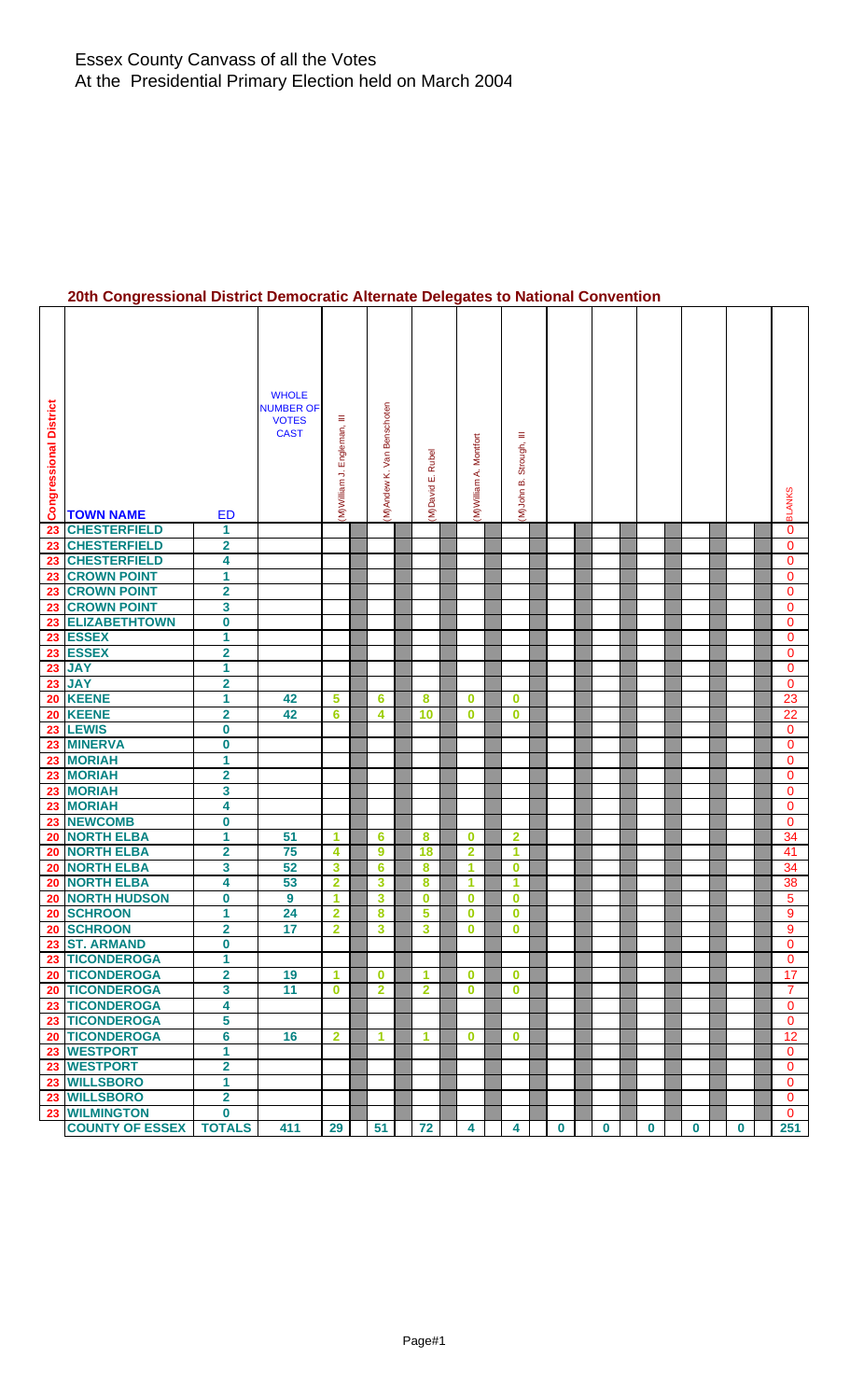# **20th Congressional District Democratic Alternate Delegates to National Convention**

| <b>Congressional District</b> | <b>TOWN NAME</b>                         | <b>ED</b>               | <b>WHOLE</b><br><b>NUMBER OF</b><br><b>VOTES</b><br><b>CAST</b> | Ξ<br>Engleman,<br>M) William J. | (M)Andew K. Van Benschoten | (M)David E. Rubel | M)William A. Montfort | Ξ<br>Strough,<br>M)John B. |          |             |          |          |             | <b>BLANKS</b>                |
|-------------------------------|------------------------------------------|-------------------------|-----------------------------------------------------------------|---------------------------------|----------------------------|-------------------|-----------------------|----------------------------|----------|-------------|----------|----------|-------------|------------------------------|
| 23                            | <b>CHESTERFIELD</b>                      | 1                       |                                                                 |                                 |                            |                   |                       |                            |          |             |          |          |             | $\mathbf{0}$                 |
| 23                            | <b>CHESTERFIELD</b>                      | $\overline{\mathbf{2}}$ |                                                                 |                                 |                            |                   |                       |                            |          |             |          |          |             | 0                            |
| 23                            | <b>CHESTERFIELD</b>                      | 4                       |                                                                 |                                 |                            |                   |                       |                            |          |             |          |          |             | $\mathbf{0}$                 |
| 23                            | <b>CROWN POINT</b>                       | 1                       |                                                                 |                                 |                            |                   |                       |                            |          |             |          |          |             | $\mathbf{0}$                 |
| 23                            | <b>CROWN POINT</b><br><b>CROWN POINT</b> | $\overline{\mathbf{2}}$ |                                                                 |                                 |                            |                   |                       |                            |          |             |          |          |             | 0                            |
| 23<br>23                      | <b>ELIZABETHTOWN</b>                     | 3<br>$\pmb{0}$          |                                                                 |                                 |                            |                   |                       |                            |          |             |          |          |             | $\mathbf{0}$<br>$\mathbf{0}$ |
|                               | 23 ESSEX                                 | 1                       |                                                                 |                                 |                            |                   |                       |                            |          |             |          |          |             | $\mathbf{0}$                 |
| 23                            | <b>ESSEX</b>                             | $\overline{\mathbf{2}}$ |                                                                 |                                 |                            |                   |                       |                            |          |             |          |          |             | 0                            |
| 23                            | <b>JAY</b>                               | 1                       |                                                                 |                                 |                            |                   |                       |                            |          |             |          |          |             | $\mathbf{0}$                 |
| 23                            | <b>JAY</b>                               | $\overline{\mathbf{2}}$ |                                                                 |                                 |                            |                   |                       |                            |          |             |          |          |             | $\mathbf{0}$                 |
| 20                            | <b>KEENE</b>                             | 1                       | 42                                                              | 5                               | 6                          | 8                 | $\bf{0}$              | $\bf{0}$                   |          |             |          |          |             | 23                           |
| 20                            | <b>KEENE</b>                             | $\overline{\mathbf{2}}$ | 42                                                              | 6                               | 4                          | 10                | $\bf{0}$              | $\bf{0}$                   |          |             |          |          |             | 22                           |
| 23                            | <b>LEWIS</b>                             | $\pmb{0}$               |                                                                 |                                 |                            |                   |                       |                            |          |             |          |          |             | $\mathbf{0}$                 |
| 23                            | <b>MINERVA</b>                           | $\pmb{0}$               |                                                                 |                                 |                            |                   |                       |                            |          |             |          |          |             | $\mathbf{0}$                 |
| 23                            | <b>MORIAH</b>                            | 1                       |                                                                 |                                 |                            |                   |                       |                            |          |             |          |          |             | $\mathbf{0}$                 |
| 23                            | <b>MORIAH</b>                            | $\overline{\mathbf{2}}$ |                                                                 |                                 |                            |                   |                       |                            |          |             |          |          |             | $\mathbf{0}$                 |
|                               | 23 MORIAH                                | 3                       |                                                                 |                                 |                            |                   |                       |                            |          |             |          |          |             | $\mathbf 0$                  |
| 23                            | <b>MORIAH</b>                            | 4                       |                                                                 |                                 |                            |                   |                       |                            |          |             |          |          |             | $\mathbf 0$                  |
| 23                            | <b>NEWCOMB</b>                           | 0                       |                                                                 |                                 |                            |                   |                       |                            |          |             |          |          |             | $\mathbf{0}$                 |
| 20                            | <b>NORTH ELBA</b>                        | 1                       | 51                                                              | 1                               | 6                          | 8                 | 0                     | $\mathbf{2}$               |          |             |          |          |             | 34                           |
| 20                            | <b>NORTH ELBA</b>                        | $\overline{\mathbf{2}}$ | 75                                                              | 4                               | $\boldsymbol{9}$           | 18                | $\overline{2}$        | 1                          |          |             |          |          |             | 41                           |
| 20                            | <b>NORTH ELBA</b>                        | 3                       | 52                                                              | 3                               | 6                          | 8                 | 1                     | $\bf{0}$                   |          |             |          |          |             | 34                           |
| 20                            | <b>NORTH ELBA</b>                        | 4                       | 53                                                              | $\overline{2}$                  | 3                          | 8                 | -1                    | 1                          |          |             |          |          |             | 38                           |
| 20                            | <b>NORTH HUDSON</b>                      | $\overline{\mathbf{0}}$ | 9                                                               | $\mathbf{1}$                    | $\overline{\mathbf{3}}$    | $\bf{0}$          | $\bf{0}$              | $\bf{0}$                   |          |             |          |          |             | $\overline{5}$               |
| 20                            | <b>SCHROON</b><br>20 SCHROON             | 1                       | 24<br>17                                                        | $\overline{\mathbf{2}}$         | 8                          | 5                 | $\bf{0}$              | $\bf{0}$<br>$\bf{0}$       |          |             |          |          |             | 9<br>9                       |
|                               | 23 ST. ARMAND                            | 2<br>$\boldsymbol{0}$   |                                                                 | $\mathbf 2$                     | 3                          | 3                 | $\bf{0}$              |                            |          |             |          |          |             | $\mathbf 0$                  |
|                               | 23 TICONDEROGA                           | 1                       |                                                                 |                                 |                            |                   |                       |                            |          |             |          |          |             | $\mathbf{0}$                 |
|                               | 20 TICONDEROGA                           | $\overline{\mathbf{2}}$ | 19                                                              | 1                               | $\bf{0}$                   | 1                 | $\bf{0}$              | $\bf{0}$                   |          |             |          |          |             | 17                           |
|                               | 20 TICONDEROGA                           | $\overline{\mathbf{3}}$ | 11                                                              | $\bf{0}$                        | $\overline{2}$             | $\overline{2}$    | $\mathbf{0}$          | $\bf{0}$                   |          |             |          |          |             | $\overline{7}$               |
|                               | 23 TICONDEROGA                           | 4                       |                                                                 |                                 |                            |                   |                       |                            |          |             |          |          |             | $\mathbf 0$                  |
|                               | 23 TICONDEROGA                           | 5                       |                                                                 |                                 |                            |                   |                       |                            |          |             |          |          |             | $\mathbf{0}$                 |
|                               | 20 TICONDEROGA                           | $6\phantom{a}$          | 16                                                              | $\mathbf{2}$                    | 1                          | 1                 | $\bf{0}$              | $\bf{0}$                   |          |             |          |          |             | 12                           |
|                               | 23 WESTPORT                              | 1                       |                                                                 |                                 |                            |                   |                       |                            |          |             |          |          |             | $\mathbf{0}$                 |
|                               | 23 WESTPORT                              | $\overline{\mathbf{2}}$ |                                                                 |                                 |                            |                   |                       |                            |          |             |          |          |             | $\mathbf{0}$                 |
|                               | 23 WILLSBORO                             | 1                       |                                                                 |                                 |                            |                   |                       |                            |          |             |          |          |             | $\mathbf{0}$                 |
|                               | 23 WILLSBORO                             | $\overline{\mathbf{2}}$ |                                                                 |                                 |                            |                   |                       |                            |          |             |          |          |             | $\mathbf 0$                  |
|                               | 23 WILMINGTON                            | $\bf{0}$                |                                                                 |                                 |                            |                   |                       |                            |          |             |          |          |             | $\mathbf{0}$                 |
|                               | <b>COUNTY OF ESSEX</b>                   | <b>TOTALS</b>           | 411                                                             | 29                              | 51                         | 72                | 4                     | 4                          | $\bf{0}$ | $\mathbf 0$ | $\bf{0}$ | $\bf{0}$ | $\mathbf 0$ | 251                          |